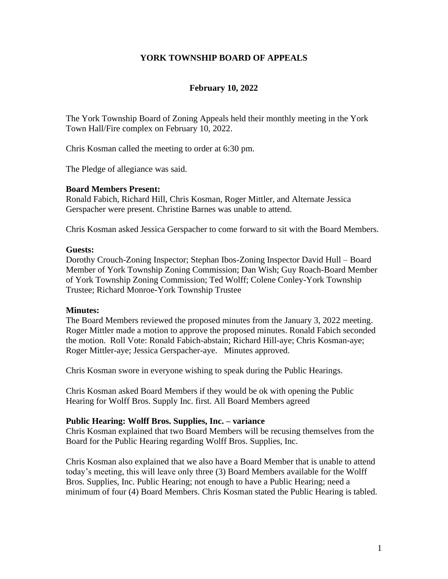## **YORK TOWNSHIP BOARD OF APPEALS**

## **February 10, 2022**

The York Township Board of Zoning Appeals held their monthly meeting in the York Town Hall/Fire complex on February 10, 2022.

Chris Kosman called the meeting to order at 6:30 pm.

The Pledge of allegiance was said.

### **Board Members Present:**

Ronald Fabich, Richard Hill, Chris Kosman, Roger Mittler, and Alternate Jessica Gerspacher were present. Christine Barnes was unable to attend.

Chris Kosman asked Jessica Gerspacher to come forward to sit with the Board Members.

#### **Guests:**

Dorothy Crouch-Zoning Inspector; Stephan Ibos-Zoning Inspector David Hull – Board Member of York Township Zoning Commission; Dan Wish; Guy Roach-Board Member of York Township Zoning Commission; Ted Wolff; Colene Conley-York Township Trustee; Richard Monroe-York Township Trustee

#### **Minutes:**

The Board Members reviewed the proposed minutes from the January 3, 2022 meeting. Roger Mittler made a motion to approve the proposed minutes. Ronald Fabich seconded the motion. Roll Vote: Ronald Fabich-abstain; Richard Hill-aye; Chris Kosman-aye; Roger Mittler-aye; Jessica Gerspacher-aye. Minutes approved.

Chris Kosman swore in everyone wishing to speak during the Public Hearings.

Chris Kosman asked Board Members if they would be ok with opening the Public Hearing for Wolff Bros. Supply Inc. first. All Board Members agreed

#### **Public Hearing: Wolff Bros. Supplies, Inc. – variance**

Chris Kosman explained that two Board Members will be recusing themselves from the Board for the Public Hearing regarding Wolff Bros. Supplies, Inc.

Chris Kosman also explained that we also have a Board Member that is unable to attend today's meeting, this will leave only three (3) Board Members available for the Wolff Bros. Supplies, Inc. Public Hearing; not enough to have a Public Hearing; need a minimum of four (4) Board Members. Chris Kosman stated the Public Hearing is tabled.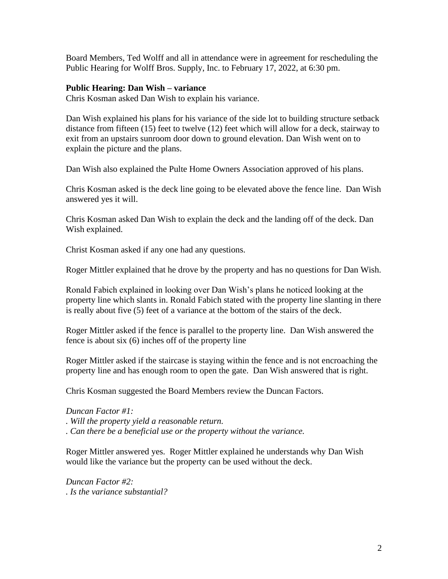Board Members, Ted Wolff and all in attendance were in agreement for rescheduling the Public Hearing for Wolff Bros. Supply, Inc. to February 17, 2022, at 6:30 pm.

## **Public Hearing: Dan Wish – variance**

Chris Kosman asked Dan Wish to explain his variance.

Dan Wish explained his plans for his variance of the side lot to building structure setback distance from fifteen (15) feet to twelve (12) feet which will allow for a deck, stairway to exit from an upstairs sunroom door down to ground elevation. Dan Wish went on to explain the picture and the plans.

Dan Wish also explained the Pulte Home Owners Association approved of his plans.

Chris Kosman asked is the deck line going to be elevated above the fence line. Dan Wish answered yes it will.

Chris Kosman asked Dan Wish to explain the deck and the landing off of the deck. Dan Wish explained.

Christ Kosman asked if any one had any questions.

Roger Mittler explained that he drove by the property and has no questions for Dan Wish.

Ronald Fabich explained in looking over Dan Wish's plans he noticed looking at the property line which slants in. Ronald Fabich stated with the property line slanting in there is really about five (5) feet of a variance at the bottom of the stairs of the deck.

Roger Mittler asked if the fence is parallel to the property line. Dan Wish answered the fence is about six (6) inches off of the property line

Roger Mittler asked if the staircase is staying within the fence and is not encroaching the property line and has enough room to open the gate. Dan Wish answered that is right.

Chris Kosman suggested the Board Members review the Duncan Factors.

*Duncan Factor #1:* 

*. Will the property yield a reasonable return.*

*. Can there be a beneficial use or the property without the variance.* 

Roger Mittler answered yes. Roger Mittler explained he understands why Dan Wish would like the variance but the property can be used without the deck.

*Duncan Factor #2: . Is the variance substantial?*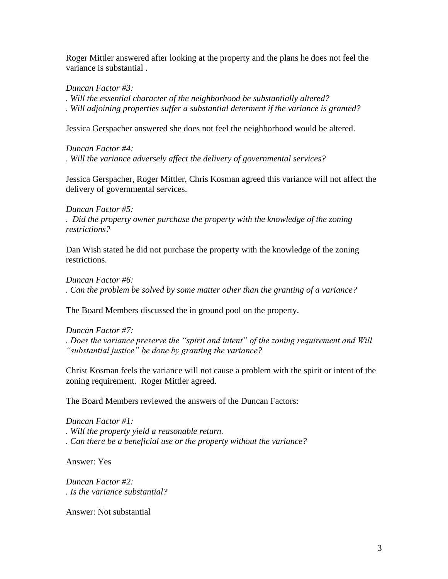Roger Mittler answered after looking at the property and the plans he does not feel the variance is substantial .

*Duncan Factor #3:* 

*. Will the essential character of the neighborhood be substantially altered?*

*. Will adjoining properties suffer a substantial determent if the variance is granted?*

Jessica Gerspacher answered she does not feel the neighborhood would be altered.

*Duncan Factor #4:*

*. Will the variance adversely affect the delivery of governmental services?*

Jessica Gerspacher, Roger Mittler, Chris Kosman agreed this variance will not affect the delivery of governmental services.

*Duncan Factor #5:*

*. Did the property owner purchase the property with the knowledge of the zoning restrictions?* 

Dan Wish stated he did not purchase the property with the knowledge of the zoning restrictions.

*Duncan Factor #6:* 

*. Can the problem be solved by some matter other than the granting of a variance?*

The Board Members discussed the in ground pool on the property.

## *Duncan Factor #7:*

*. Does the variance preserve the "spirit and intent" of the zoning requirement and Will "substantial justice" be done by granting the variance?*

Christ Kosman feels the variance will not cause a problem with the spirit or intent of the zoning requirement. Roger Mittler agreed.

The Board Members reviewed the answers of the Duncan Factors:

*Duncan Factor #1:* 

*. Will the property yield a reasonable return.*

*. Can there be a beneficial use or the property without the variance?*

Answer: Yes

*Duncan Factor #2: . Is the variance substantial?*

Answer: Not substantial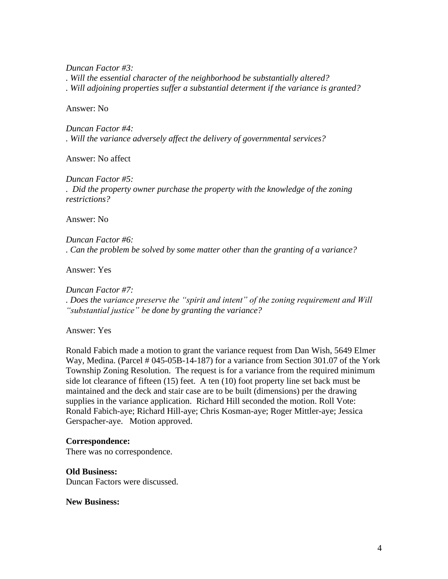*Duncan Factor #3:* 

*. Will the essential character of the neighborhood be substantially altered?*

*. Will adjoining properties suffer a substantial determent if the variance is granted?*

Answer: No

*Duncan Factor #4: . Will the variance adversely affect the delivery of governmental services?*

Answer: No affect

*Duncan Factor #5: . Did the property owner purchase the property with the knowledge of the zoning restrictions?*

Answer: No

*Duncan Factor #6: . Can the problem be solved by some matter other than the granting of a variance?*

Answer: Yes

*Duncan Factor #7: . Does the variance preserve the "spirit and intent" of the zoning requirement and Will "substantial justice" be done by granting the variance?*

Answer: Yes

Ronald Fabich made a motion to grant the variance request from Dan Wish, 5649 Elmer Way, Medina. (Parcel # 045-05B-14-187) for a variance from Section 301.07 of the York Township Zoning Resolution. The request is for a variance from the required minimum side lot clearance of fifteen (15) feet. A ten (10) foot property line set back must be maintained and the deck and stair case are to be built (dimensions) per the drawing supplies in the variance application. Richard Hill seconded the motion. Roll Vote: Ronald Fabich-aye; Richard Hill-aye; Chris Kosman-aye; Roger Mittler-aye; Jessica Gerspacher-aye. Motion approved.

## **Correspondence:**

There was no correspondence.

**Old Business:**

Duncan Factors were discussed.

**New Business:**